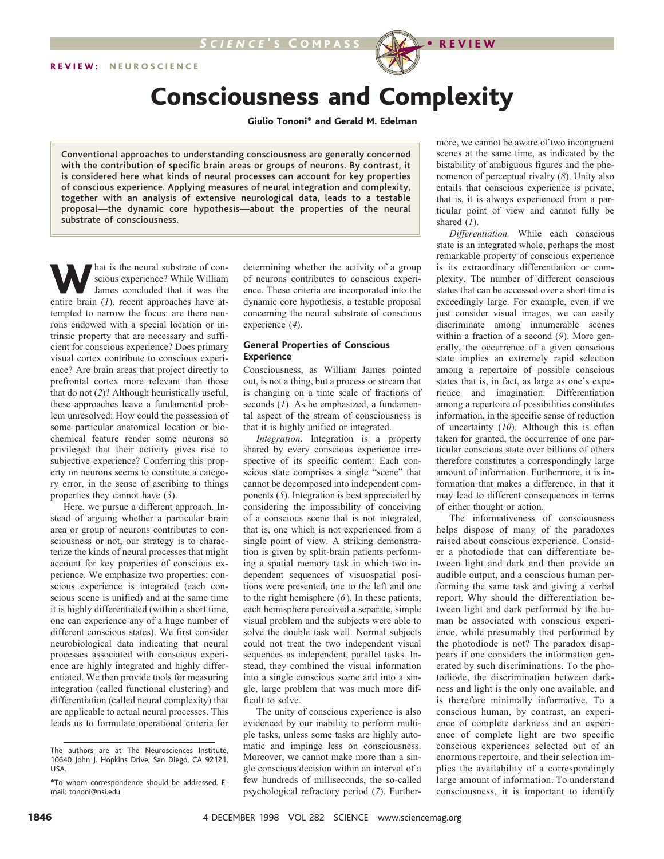# Consciousness and Complexity

Giulio Tononi\* and Gerald M. Edelman

Conventional approaches to understanding consciousness are generally concerned with the contribution of specific brain areas or groups of neurons. By contrast, it is considered here what kinds of neural processes can account for key properties of conscious experience. Applying measures of neural integration and complexity, together with an analysis of extensive neurological data, leads to a testable proposal—the dynamic core hypothesis—about the properties of the neural substrate of consciousness.

What is the neural substrate of con-<br>
James concluded that it was the<br>
entire brain (1) recent annoaches have atscious experience? While William entire brain (*1*), recent approaches have attempted to narrow the focus: are there neurons endowed with a special location or intrinsic property that are necessary and sufficient for conscious experience? Does primary visual cortex contribute to conscious experience? Are brain areas that project directly to prefrontal cortex more relevant than those that do not (*2*)? Although heuristically useful, these approaches leave a fundamental problem unresolved: How could the possession of some particular anatomical location or biochemical feature render some neurons so privileged that their activity gives rise to subjective experience? Conferring this property on neurons seems to constitute a category error, in the sense of ascribing to things properties they cannot have (*3*).

Here, we pursue a different approach. Instead of arguing whether a particular brain area or group of neurons contributes to consciousness or not, our strategy is to characterize the kinds of neural processes that might account for key properties of conscious experience. We emphasize two properties: conscious experience is integrated (each conscious scene is unified) and at the same time it is highly differentiated (within a short time, one can experience any of a huge number of different conscious states). We first consider neurobiological data indicating that neural processes associated with conscious experience are highly integrated and highly differentiated. We then provide tools for measuring integration (called functional clustering) and differentiation (called neural complexity) that are applicable to actual neural processes. This leads us to formulate operational criteria for

determining whether the activity of a group of neurons contributes to conscious experience. These criteria are incorporated into the dynamic core hypothesis, a testable proposal concerning the neural substrate of conscious experience (*4*).

## **General Properties of Conscious Experience**

Consciousness, as William James pointed out, is not a thing, but a process or stream that is changing on a time scale of fractions of seconds (*1*). As he emphasized, a fundamental aspect of the stream of consciousness is that it is highly unified or integrated.

*Integration*. Integration is a property shared by every conscious experience irrespective of its specific content: Each conscious state comprises a single "scene" that cannot be decomposed into independent components (*5*). Integration is best appreciated by considering the impossibility of conceiving of a conscious scene that is not integrated, that is, one which is not experienced from a single point of view. A striking demonstration is given by split-brain patients performing a spatial memory task in which two independent sequences of visuospatial positions were presented, one to the left and one to the right hemisphere (*6*). In these patients, each hemisphere perceived a separate, simple visual problem and the subjects were able to solve the double task well. Normal subjects could not treat the two independent visual sequences as independent, parallel tasks. Instead, they combined the visual information into a single conscious scene and into a single, large problem that was much more difficult to solve.

The unity of conscious experience is also evidenced by our inability to perform multiple tasks, unless some tasks are highly automatic and impinge less on consciousness. Moreover, we cannot make more than a single conscious decision within an interval of a few hundreds of milliseconds, the so-called psychological refractory period (*7*). Furthermore, we cannot be aware of two incongruent scenes at the same time, as indicated by the bistability of ambiguous figures and the phenomenon of perceptual rivalry (*8*). Unity also entails that conscious experience is private, that is, it is always experienced from a particular point of view and cannot fully be shared (*1*).

*Differentiation.* While each conscious state is an integrated whole, perhaps the most remarkable property of conscious experience is its extraordinary differentiation or complexity. The number of different conscious states that can be accessed over a short time is exceedingly large. For example, even if we just consider visual images, we can easily discriminate among innumerable scenes within a fraction of a second (*9*). More generally, the occurrence of a given conscious state implies an extremely rapid selection among a repertoire of possible conscious states that is, in fact, as large as one's experience and imagination. Differentiation among a repertoire of possibilities constitutes information, in the specific sense of reduction of uncertainty (*10*). Although this is often taken for granted, the occurrence of one particular conscious state over billions of others therefore constitutes a correspondingly large amount of information. Furthermore, it is information that makes a difference, in that it may lead to different consequences in terms of either thought or action.

The informativeness of consciousness helps dispose of many of the paradoxes raised about conscious experience. Consider a photodiode that can differentiate between light and dark and then provide an audible output, and a conscious human performing the same task and giving a verbal report. Why should the differentiation between light and dark performed by the human be associated with conscious experience, while presumably that performed by the photodiode is not? The paradox disappears if one considers the information generated by such discriminations. To the photodiode, the discrimination between darkness and light is the only one available, and is therefore minimally informative. To a conscious human, by contrast, an experience of complete darkness and an experience of complete light are two specific conscious experiences selected out of an enormous repertoire, and their selection implies the availability of a correspondingly large amount of information. To understand consciousness, it is important to identify

The authors are at The Neurosciences Institute, 10640 John J. Hopkins Drive, San Diego, CA 92121, USA.

<sup>\*</sup>To whom correspondence should be addressed. Email: tononi@nsi.edu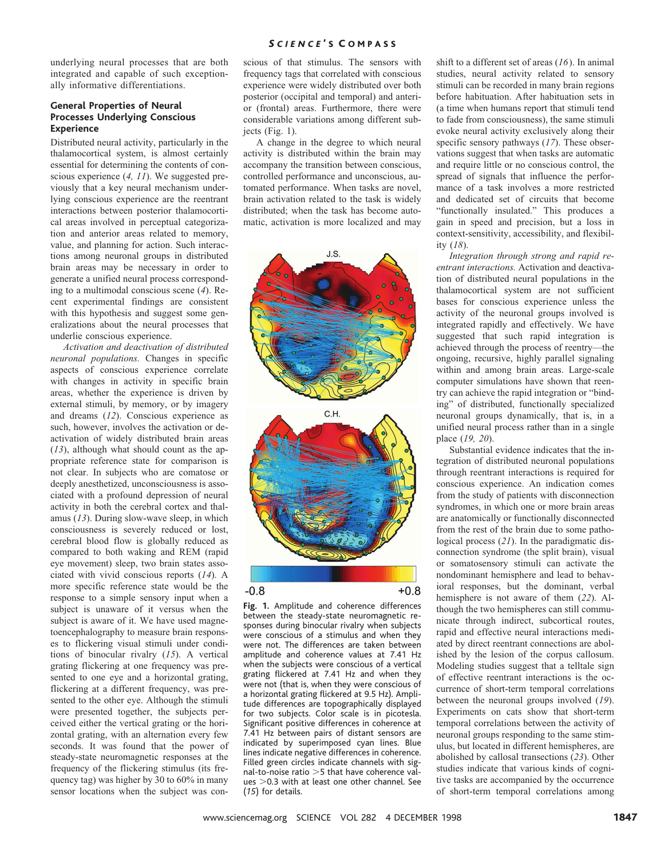## *S C I E N C E* ' S C O M P A S S

underlying neural processes that are both integrated and capable of such exceptionally informative differentiations.

## **General Properties of Neural Processes Underlying Conscious Experience**

Distributed neural activity, particularly in the thalamocortical system, is almost certainly essential for determining the contents of conscious experience (*4, 11*). We suggested previously that a key neural mechanism underlying conscious experience are the reentrant interactions between posterior thalamocortical areas involved in perceptual categorization and anterior areas related to memory, value, and planning for action. Such interactions among neuronal groups in distributed brain areas may be necessary in order to generate a unified neural process corresponding to a multimodal conscious scene (*4*). Recent experimental findings are consistent with this hypothesis and suggest some generalizations about the neural processes that underlie conscious experience.

*Activation and deactivation of distributed neuronal populations.* Changes in specific aspects of conscious experience correlate with changes in activity in specific brain areas, whether the experience is driven by external stimuli, by memory, or by imagery and dreams (*12*). Conscious experience as such, however, involves the activation or deactivation of widely distributed brain areas (*13*), although what should count as the appropriate reference state for comparison is not clear. In subjects who are comatose or deeply anesthetized, unconsciousness is associated with a profound depression of neural activity in both the cerebral cortex and thalamus (*13*). During slow-wave sleep, in which consciousness is severely reduced or lost, cerebral blood flow is globally reduced as compared to both waking and REM (rapid eye movement) sleep, two brain states associated with vivid conscious reports (*14*). A more specific reference state would be the response to a simple sensory input when a subject is unaware of it versus when the subject is aware of it. We have used magnetoencephalography to measure brain responses to flickering visual stimuli under conditions of binocular rivalry (*15*). A vertical grating flickering at one frequency was presented to one eye and a horizontal grating, flickering at a different frequency, was presented to the other eye. Although the stimuli were presented together, the subjects perceived either the vertical grating or the horizontal grating, with an alternation every few seconds. It was found that the power of steady-state neuromagnetic responses at the frequency of the flickering stimulus (its frequency tag) was higher by 30 to 60% in many sensor locations when the subject was con-

scious of that stimulus. The sensors with frequency tags that correlated with conscious experience were widely distributed over both posterior (occipital and temporal) and anterior (frontal) areas. Furthermore, there were considerable variations among different subjects (Fig. 1).

A change in the degree to which neural activity is distributed within the brain may accompany the transition between conscious, controlled performance and unconscious, automated performance. When tasks are novel, brain activation related to the task is widely distributed; when the task has become automatic, activation is more localized and may



**Fig. 1.** Amplitude and coherence differences between the steady-state neuromagnetic responses during binocular rivalry when subjects were conscious of a stimulus and when they were not. The differences are taken between amplitude and coherence values at 7.41 Hz when the subjects were conscious of a vertical grating flickered at 7.41 Hz and when they were not (that is, when they were conscious of a horizontal grating flickered at 9.5 Hz). Amplitude differences are topographically displayed for two subjects. Color scale is in picotesla. Significant positive differences in coherence at 7.41 Hz between pairs of distant sensors are indicated by superimposed cyan lines. Blue lines indicate negative differences in coherence. Filled green circles indicate channels with signal-to-noise ratio  $>5$  that have coherence val $ues > 0.3$  with at least one other channel. See (*15*) for details.

shift to a different set of areas (*16*). In animal studies, neural activity related to sensory stimuli can be recorded in many brain regions before habituation. After habituation sets in (a time when humans report that stimuli tend to fade from consciousness), the same stimuli evoke neural activity exclusively along their specific sensory pathways (*17*). These observations suggest that when tasks are automatic and require little or no conscious control, the spread of signals that influence the performance of a task involves a more restricted and dedicated set of circuits that become "functionally insulated." This produces a gain in speed and precision, but a loss in context-sensitivity, accessibility, and flexibility (*18*).

*Integration through strong and rapid reentrant interactions.* Activation and deactivation of distributed neural populations in the thalamocortical system are not sufficient bases for conscious experience unless the activity of the neuronal groups involved is integrated rapidly and effectively. We have suggested that such rapid integration is achieved through the process of reentry—the ongoing, recursive, highly parallel signaling within and among brain areas. Large-scale computer simulations have shown that reentry can achieve the rapid integration or "binding" of distributed, functionally specialized neuronal groups dynamically, that is, in a unified neural process rather than in a single place (*19, 20*).

Substantial evidence indicates that the integration of distributed neuronal populations through reentrant interactions is required for conscious experience. An indication comes from the study of patients with disconnection syndromes, in which one or more brain areas are anatomically or functionally disconnected from the rest of the brain due to some pathological process (*21*). In the paradigmatic disconnection syndrome (the split brain), visual or somatosensory stimuli can activate the nondominant hemisphere and lead to behavioral responses, but the dominant, verbal hemisphere is not aware of them (*22*). Although the two hemispheres can still communicate through indirect, subcortical routes, rapid and effective neural interactions mediated by direct reentrant connections are abolished by the lesion of the corpus callosum. Modeling studies suggest that a telltale sign of effective reentrant interactions is the occurrence of short-term temporal correlations between the neuronal groups involved (*19*). Experiments on cats show that short-term temporal correlations between the activity of neuronal groups responding to the same stimulus, but located in different hemispheres, are abolished by callosal transections (*23*). Other studies indicate that various kinds of cognitive tasks are accompanied by the occurrence of short-term temporal correlations among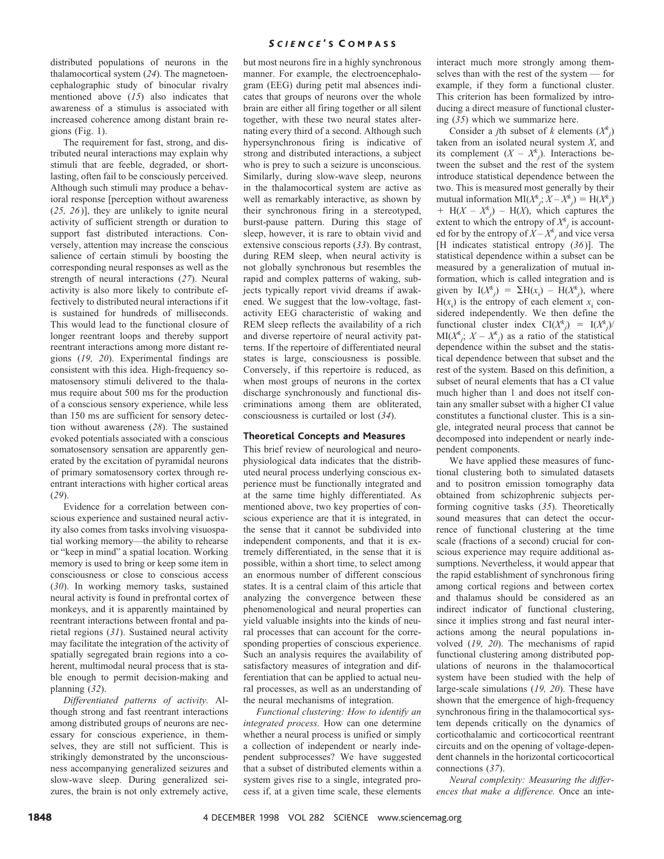## *S C I E N C E* ' S C O M P A S S

distributed populations of neurons in the thalamocortical system (*24*). The magnetoencephalographic study of binocular rivalry mentioned above (*15*) also indicates that awareness of a stimulus is associated with increased coherence among distant brain regions (Fig. 1).

The requirement for fast, strong, and distributed neural interactions may explain why stimuli that are feeble, degraded, or shortlasting, often fail to be consciously perceived. Although such stimuli may produce a behavioral response [perception without awareness (*25, 26*)], they are unlikely to ignite neural activity of sufficient strength or duration to support fast distributed interactions. Conversely, attention may increase the conscious salience of certain stimuli by boosting the corresponding neural responses as well as the strength of neural interactions (*27*). Neural activity is also more likely to contribute effectively to distributed neural interactions if it is sustained for hundreds of milliseconds. This would lead to the functional closure of longer reentrant loops and thereby support reentrant interactions among more distant regions (*19, 20*). Experimental findings are consistent with this idea. High-frequency somatosensory stimuli delivered to the thalamus require about 500 ms for the production of a conscious sensory experience, while less than 150 ms are sufficient for sensory detection without awareness (*28*). The sustained evoked potentials associated with a conscious somatosensory sensation are apparently generated by the excitation of pyramidal neurons of primary somatosensory cortex through reentrant interactions with higher cortical areas (*29*).

Evidence for a correlation between conscious experience and sustained neural activity also comes from tasks involving visuospatial working memory—the ability to rehearse or "keep in mind" a spatial location. Working memory is used to bring or keep some item in consciousness or close to conscious access (*30*). In working memory tasks, sustained neural activity is found in prefrontal cortex of monkeys, and it is apparently maintained by reentrant interactions between frontal and parietal regions (*31*). Sustained neural activity may facilitate the integration of the activity of spatially segregated brain regions into a coherent, multimodal neural process that is stable enough to permit decision-making and planning (*32*).

*Differentiated patterns of activity.* Although strong and fast reentrant interactions among distributed groups of neurons are necessary for conscious experience, in themselves, they are still not sufficient. This is strikingly demonstrated by the unconsciousness accompanying generalized seizures and slow-wave sleep. During generalized seizures, the brain is not only extremely active,

but most neurons fire in a highly synchronous manner. For example, the electroencephalogram (EEG) during petit mal absences indicates that groups of neurons over the whole brain are either all firing together or all silent together, with these two neural states alternating every third of a second. Although such hypersynchronous firing is indicative of strong and distributed interactions, a subject who is prey to such a seizure is unconscious. Similarly, during slow-wave sleep, neurons in the thalamocortical system are active as well as remarkably interactive, as shown by their synchronous firing in a stereotyped, burst-pause pattern. During this stage of sleep, however, it is rare to obtain vivid and extensive conscious reports (*33*). By contrast, during REM sleep, when neural activity is not globally synchronous but resembles the rapid and complex patterns of waking, subjects typically report vivid dreams if awakened. We suggest that the low-voltage, fastactivity EEG characteristic of waking and REM sleep reflects the availability of a rich and diverse repertoire of neural activity patterns. If the repertoire of differentiated neural states is large, consciousness is possible. Conversely, if this repertoire is reduced, as when most groups of neurons in the cortex discharge synchronously and functional discriminations among them are obliterated, consciousness is curtailed or lost (*34*).

## **Theoretical Concepts and Measures**

This brief review of neurological and neurophysiological data indicates that the distributed neural process underlying conscious experience must be functionally integrated and at the same time highly differentiated. As mentioned above, two key properties of conscious experience are that it is integrated, in the sense that it cannot be subdivided into independent components, and that it is extremely differentiated, in the sense that it is possible, within a short time, to select among an enormous number of different conscious states. It is a central claim of this article that analyzing the convergence between these phenomenological and neural properties can yield valuable insights into the kinds of neural processes that can account for the corresponding properties of conscious experience. Such an analysis requires the availability of satisfactory measures of integration and differentiation that can be applied to actual neural processes, as well as an understanding of the neural mechanisms of integration.

*Functional clustering: How to identify an integrated process.* How can one determine whether a neural process is unified or simply a collection of independent or nearly independent subprocesses? We have suggested that a subset of distributed elements within a system gives rise to a single, integrated process if, at a given time scale, these elements

interact much more strongly among themselves than with the rest of the system — for example, if they form a functional cluster. This criterion has been formalized by introducing a direct measure of functional clustering (*35*) which we summarize here.

Consider a *j*th subset of *k* elements  $(X^k_j)$ taken from an isolated neural system *X*, and its complement  $(X - X^k)$ . Interactions between the subset and the rest of the system introduce statistical dependence between the two. This is measured most generally by their mutual information  $\text{MI}(X^k_j; X - X^k_j) = \text{H}(X^k_j)$  $+$  H( $X - X^k$ <sub>j</sub>) – H( $X$ ), which captures the extent to which the entropy of  $X^k$  is accounted for by the entropy of  $\ddot{X} - \ddot{X}^k$  and vice versa [H indicates statistical entropy (*36*)]. The statistical dependence within a subset can be measured by a generalization of mutual information, which is called integration and is given by  $I(X^k) = \Sigma H(x_i) - H(X^k)$ , where  $H(x_i)$  is the entropy of each element  $x_i$  considered independently. We then define the functional cluster index  $CI(X^k) = I(X^k)$  $MI(X^k)$ ;  $X - X^k$ ) as a ratio of the statistical dependence within the subset and the statistical dependence between that subset and the rest of the system. Based on this definition, a subset of neural elements that has a CI value much higher than 1 and does not itself contain any smaller subset with a higher CI value constitutes a functional cluster. This is a single, integrated neural process that cannot be decomposed into independent or nearly independent components.

We have applied these measures of functional clustering both to simulated datasets and to positron emission tomography data obtained from schizophrenic subjects performing cognitive tasks (*35*). Theoretically sound measures that can detect the occurrence of functional clustering at the time scale (fractions of a second) crucial for conscious experience may require additional assumptions. Nevertheless, it would appear that the rapid establishment of synchronous firing among cortical regions and between cortex and thalamus should be considered as an indirect indicator of functional clustering, since it implies strong and fast neural interactions among the neural populations involved (*19, 20*). The mechanisms of rapid functional clustering among distributed populations of neurons in the thalamocortical system have been studied with the help of large-scale simulations (*19, 20*). These have shown that the emergence of high-frequency synchronous firing in the thalamocortical system depends critically on the dynamics of corticothalamic and corticocortical reentrant circuits and on the opening of voltage-dependent channels in the horizontal corticocortical connections (*37*).

*Neural complexity: Measuring the differences that make a difference.* Once an inte-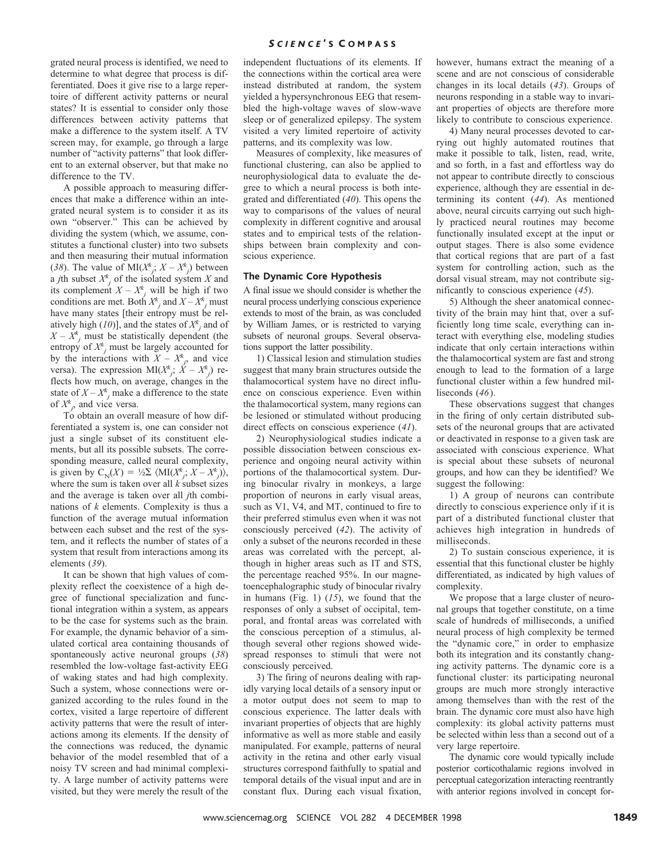grated neural process is identified, we need to determine to what degree that process is differentiated. Does it give rise to a large repertoire of different activity patterns or neural states? It is essential to consider only those differences between activity patterns that make a difference to the system itself. A TV screen may, for example, go through a large number of "activity patterns" that look different to an external observer, but that make no difference to the TV.

A possible approach to measuring differences that make a difference within an integrated neural system is to consider it as its own "observer." This can be achieved by dividing the system (which, we assume, constitutes a functional cluster) into two subsets and then measuring their mutual information (38). The value of  $\text{MI}(X^k)$ ;  $X - X^k$ ) between a *j*th subset  $X^k$  of the isolated system *X* and its complement  $X - X^k$  will be high if two conditions are met. Both  $X^k_j$  and  $X - X^k_j$  must have many states [their entropy must be relatively high (*10*)], and the states of  $X^k$ <sub>*j*</sub> and of  $X - X^k$  must be statistically dependent (the entropy of  $X^k_j$  must be largely accounted for by the interactions with  $X - X^k$ , and vice versa). The expression  $\text{MI}(X^k_j; X - X^k_j)$  reflects how much, on average, changes in the state of  $X - X^k$  make a difference to the state of  $X^k$ , and vice versa.

To obtain an overall measure of how differentiated a system is, one can consider not just a single subset of its constituent elements, but all its possible subsets. The corresponding measure, called neural complexity, is given by  $C_N(X) = \frac{1}{2}\sum_{i=1}^N \langle M I(X^k_j; X - X^k_j) \rangle$ , where the sum is taken over all *k* subset sizes and the average is taken over all *j*th combinations of *k* elements. Complexity is thus a function of the average mutual information between each subset and the rest of the system, and it reflects the number of states of a system that result from interactions among its elements (*39*).

It can be shown that high values of complexity reflect the coexistence of a high degree of functional specialization and functional integration within a system, as appears to be the case for systems such as the brain. For example, the dynamic behavior of a simulated cortical area containing thousands of spontaneously active neuronal groups (*38*) resembled the low-voltage fast-activity EEG of waking states and had high complexity. Such a system, whose connections were organized according to the rules found in the cortex, visited a large repertoire of different activity patterns that were the result of interactions among its elements. If the density of the connections was reduced, the dynamic behavior of the model resembled that of a noisy TV screen and had minimal complexity. A large number of activity patterns were visited, but they were merely the result of the

independent fluctuations of its elements. If the connections within the cortical area were instead distributed at random, the system yielded a hypersynchronous EEG that resembled the high-voltage waves of slow-wave sleep or of generalized epilepsy. The system visited a very limited repertoire of activity patterns, and its complexity was low.

Measures of complexity, like measures of functional clustering, can also be applied to neurophysiological data to evaluate the degree to which a neural process is both integrated and differentiated (*40*). This opens the way to comparisons of the values of neural complexity in different cognitive and arousal states and to empirical tests of the relationships between brain complexity and conscious experience.

#### **The Dynamic Core Hypothesis**

A final issue we should consider is whether the neural process underlying conscious experience extends to most of the brain, as was concluded by William James, or is restricted to varying subsets of neuronal groups. Several observations support the latter possibility.

1) Classical lesion and stimulation studies suggest that many brain structures outside the thalamocortical system have no direct influence on conscious experience. Even within the thalamocortical system, many regions can be lesioned or stimulated without producing direct effects on conscious experience (*41*).

2) Neurophysiological studies indicate a possible dissociation between conscious experience and ongoing neural activity within portions of the thalamocortical system. During binocular rivalry in monkeys, a large proportion of neurons in early visual areas, such as V1, V4, and MT, continued to fire to their preferred stimulus even when it was not consciously perceived (*42*). The activity of only a subset of the neurons recorded in these areas was correlated with the percept, although in higher areas such as IT and STS, the percentage reached 95%. In our magnetoencephalographic study of binocular rivalry in humans (Fig. 1) (*15*), we found that the responses of only a subset of occipital, temporal, and frontal areas was correlated with the conscious perception of a stimulus, although several other regions showed widespread responses to stimuli that were not consciously perceived.

3) The firing of neurons dealing with rapidly varying local details of a sensory input or a motor output does not seem to map to conscious experience. The latter deals with invariant properties of objects that are highly informative as well as more stable and easily manipulated. For example, patterns of neural activity in the retina and other early visual structures correspond faithfully to spatial and temporal details of the visual input and are in constant flux. During each visual fixation,

however, humans extract the meaning of a scene and are not conscious of considerable changes in its local details (*43*). Groups of neurons responding in a stable way to invariant properties of objects are therefore more likely to contribute to conscious experience.

4) Many neural processes devoted to carrying out highly automated routines that make it possible to talk, listen, read, write, and so forth, in a fast and effortless way do not appear to contribute directly to conscious experience, although they are essential in determining its content (*44*). As mentioned above, neural circuits carrying out such highly practiced neural routines may become functionally insulated except at the input or output stages. There is also some evidence that cortical regions that are part of a fast system for controlling action, such as the dorsal visual stream, may not contribute significantly to conscious experience (*45*).

5) Although the sheer anatomical connectivity of the brain may hint that, over a sufficiently long time scale, everything can interact with everything else, modeling studies indicate that only certain interactions within the thalamocortical system are fast and strong enough to lead to the formation of a large functional cluster within a few hundred milliseconds (*46*).

These observations suggest that changes in the firing of only certain distributed subsets of the neuronal groups that are activated or deactivated in response to a given task are associated with conscious experience. What is special about these subsets of neuronal groups, and how can they be identified? We suggest the following:

1) A group of neurons can contribute directly to conscious experience only if it is part of a distributed functional cluster that achieves high integration in hundreds of milliseconds.

2) To sustain conscious experience, it is essential that this functional cluster be highly differentiated, as indicated by high values of complexity.

We propose that a large cluster of neuronal groups that together constitute, on a time scale of hundreds of milliseconds, a unified neural process of high complexity be termed the "dynamic core," in order to emphasize both its integration and its constantly changing activity patterns. The dynamic core is a functional cluster: its participating neuronal groups are much more strongly interactive among themselves than with the rest of the brain. The dynamic core must also have high complexity: its global activity patterns must be selected within less than a second out of a very large repertoire.

The dynamic core would typically include posterior corticothalamic regions involved in perceptual categorization interacting reentrantly with anterior regions involved in concept for-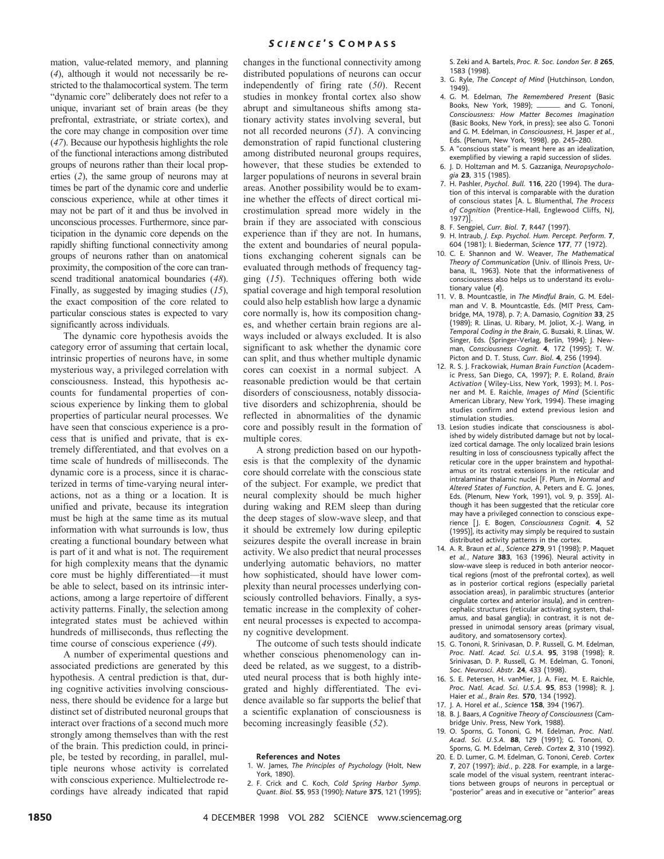## *S C I E N C E* ' S C O M P A S S

mation, value-related memory, and planning (*4*), although it would not necessarily be restricted to the thalamocortical system. The term "dynamic core" deliberately does not refer to a unique, invariant set of brain areas (be they prefrontal, extrastriate, or striate cortex), and the core may change in composition over time (*47*). Because our hypothesis highlights the role of the functional interactions among distributed groups of neurons rather than their local properties (*2*), the same group of neurons may at times be part of the dynamic core and underlie conscious experience, while at other times it may not be part of it and thus be involved in unconscious processes. Furthermore, since participation in the dynamic core depends on the rapidly shifting functional connectivity among groups of neurons rather than on anatomical proximity, the composition of the core can transcend traditional anatomical boundaries (*48*). Finally, as suggested by imaging studies (*15*), the exact composition of the core related to particular conscious states is expected to vary significantly across individuals.

The dynamic core hypothesis avoids the category error of assuming that certain local, intrinsic properties of neurons have, in some mysterious way, a privileged correlation with consciousness. Instead, this hypothesis accounts for fundamental properties of conscious experience by linking them to global properties of particular neural processes. We have seen that conscious experience is a process that is unified and private, that is extremely differentiated, and that evolves on a time scale of hundreds of milliseconds. The dynamic core is a process, since it is characterized in terms of time-varying neural interactions, not as a thing or a location. It is unified and private, because its integration must be high at the same time as its mutual information with what surrounds is low, thus creating a functional boundary between what is part of it and what is not. The requirement for high complexity means that the dynamic core must be highly differentiated—it must be able to select, based on its intrinsic interactions, among a large repertoire of different activity patterns. Finally, the selection among integrated states must be achieved within hundreds of milliseconds, thus reflecting the time course of conscious experience (*49*).

A number of experimental questions and associated predictions are generated by this hypothesis. A central prediction is that, during cognitive activities involving consciousness, there should be evidence for a large but distinct set of distributed neuronal groups that interact over fractions of a second much more strongly among themselves than with the rest of the brain. This prediction could, in principle, be tested by recording, in parallel, multiple neurons whose activity is correlated with conscious experience. Multielectrode recordings have already indicated that rapid

changes in the functional connectivity among distributed populations of neurons can occur independently of firing rate (*50*). Recent studies in monkey frontal cortex also show abrupt and simultaneous shifts among stationary activity states involving several, but not all recorded neurons (*51*). A convincing demonstration of rapid functional clustering among distributed neuronal groups requires, however, that these studies be extended to larger populations of neurons in several brain areas. Another possibility would be to examine whether the effects of direct cortical microstimulation spread more widely in the brain if they are associated with conscious experience than if they are not. In humans, the extent and boundaries of neural populations exchanging coherent signals can be evaluated through methods of frequency tagging (*15*). Techniques offering both wide spatial coverage and high temporal resolution could also help establish how large a dynamic core normally is, how its composition changes, and whether certain brain regions are always included or always excluded. It is also significant to ask whether the dynamic core can split, and thus whether multiple dynamic cores can coexist in a normal subject. A reasonable prediction would be that certain disorders of consciousness, notably dissociative disorders and schizophrenia, should be reflected in abnormalities of the dynamic core and possibly result in the formation of multiple cores.

A strong prediction based on our hypothesis is that the complexity of the dynamic core should correlate with the conscious state of the subject. For example, we predict that neural complexity should be much higher during waking and REM sleep than during the deep stages of slow-wave sleep, and that it should be extremely low during epileptic seizures despite the overall increase in brain activity. We also predict that neural processes underlying automatic behaviors, no matter how sophisticated, should have lower complexity than neural processes underlying consciously controlled behaviors. Finally, a systematic increase in the complexity of coherent neural processes is expected to accompany cognitive development.

The outcome of such tests should indicate whether conscious phenomenology can indeed be related, as we suggest, to a distributed neural process that is both highly integrated and highly differentiated. The evidence available so far supports the belief that a scientific explanation of consciousness is becoming increasingly feasible (*52*).

#### **References and Notes**

- 1. W. James, *The Principles of Psychology* (Holt, New York, 1890).
- 2. F. Crick and C. Koch, *Cold Spring Harbor Symp. Quant. Biol.* **55**, 953 (1990); *Nature* **375**, 121 (1995);

S. Zeki and A. Bartels, *Proc. R. Soc. London Ser. B* **265**, 1583 (1998).

- 3. G. Ryle, *The Concept of Mind* (Hutchinson, London, 1949).
- 4. G. M. Edelman, *The Remembered Present* (Basic Books, New York, 1989); """" and G. Tononi, *Consciousness: How Matter Becomes Imagination* (Basic Books, New York, in press); see also G. Tononi and G. M. Edelman, in *Consciousness*, H. Jasper *et al.*, Eds. (Plenum, New York, 1998). pp. 245–280.
- 5. A "conscious state" is meant here as an idealization, exemplified by viewing a rapid succession of slides.
- 6. J. D. Holtzman and M. S. Gazzaniga, *Neuropsychologia* **23**, 315 (1985).
- 7. H. Pashler, *Psychol. Bull.* **116**, 220 (1994). The duration of this interval is comparable with the duration of conscious states [A. L. Blumenthal, *The Process of Cognition* (Prentice-Hall, Englewood Cliffs, NJ, 1977)].
- 8. F. Sengpiel, *Curr. Biol.* **7**, R447 (1997).
- 9. H. Intraub, *J. Exp. Psychol. Hum. Percept. Perform.* **7**, 604 (1981); I. Biederman, *Science* **177**, 77 (1972).
- 10. C. E. Shannon and W. Weaver, *The Mathematical Theory of Communication* (Univ. of Illinois Press, Urbana, IL, 1963). Note that the informativeness of consciousness also helps us to understand its evolutionary value (*4*).
- 11. V. B. Mountcastle, in *The Mindful Brain*, G. M. Edelman and V. B. Mountcastle, Eds. (MIT Press, Cambridge, MA, 1978), p. 7; A. Damasio, *Cognition* **33**, 25 (1989); R. Llinas, U. Ribary, M. Joliot, X.-J. Wang, in *Temporal Coding in the Brain*, G. Buzsaki, R. Llinas, W. Singer, Eds. (Springer-Verlag, Berlin, 1994); J. Newman, *Consciousness Cognit.* **4**, 172 (1995); T. W. Picton and D. T. Stuss, *Curr. Biol*. **4**, 256 (1994).
- 12. R. S. J. Frackowiak, *Human Brain Function* (Academic Press, San Diego, CA, 1997); P. E. Roland, *Brain Activation* ( Wiley-Liss, New York, 1993); M. I. Posner and M. E. Raichle, *Images of Mind* (Scientific American Library, New York, 1994). These imaging studies confirm and extend previous lesion and stimulation studies.
- 13. Lesion studies indicate that consciousness is abolished by widely distributed damage but not by localized cortical damage. The only localized brain lesions resulting in loss of consciousness typically affect the reticular core in the upper brainstem and hypothalamus or its rostral extensions in the reticular and intralaminar thalamic nuclei [F. Plum, in *Normal and Altered States of Function*, A. Peters and E. G. Jones, Eds. (Plenum, New York, 1991), vol. 9, p. 359]. Although it has been suggested that the reticular core may have a privileged connection to conscious experience [J. E. Bogen, *Consciousness Cognit.* **4**, 52 (1995)], its activity may simply be required to sustain distributed activity patterns in the cortex.
- 14. A. R. Braun *et al.*, *Science* **279**, 91 (1998); P. Maquet *et al.*, *Nature* **383**, 163 (1996). Neural activity in slow-wave sleep is reduced in both anterior neocortical regions (most of the prefrontal cortex), as well as in posterior cortical regions (especially parietal association areas), in paralimbic structures (anterior cingulate cortex and anterior insula), and in centrencephalic structures (reticular activating system, thalamus, and basal ganglia); in contrast, it is not depressed in unimodal sensory areas (primary visual, auditory, and somatosensory cortex).
- 15. G. Tononi, R. Srinivasan, D. P. Russell, G. M. Edelman, *Proc. Natl. Acad. Sci. U.S.A.* **95**, 3198 (1998); R. Srinivasan, D. P. Russell, G. M. Edelman, G. Tononi, *Soc. Neurosci. Abstr*. **24**, 433 (1998).
- 16. S. E. Petersen, H. vanMier, J. A. Fiez, M. E. Raichle, *Proc. Natl. Acad. Sci. U.S.A.* **95**, 853 (1998); R. J. Haier *et al.*, *Brain Res.* **570**, 134 (1992).
- 17. J. A. Horel *et al.*, *Science* **158**, 394 (1967).
- 18. B. J. Baars, *A Cognitive Theory of Consciousness* (Cambridge Univ. Press, New York, 1988).
- 19. O. Sporns, G. Tononi, G. M. Edelman, *Proc. Natl. Acad. Sci. U.S.A.* **88**, 129 (1991); G. Tononi, O. Sporns, G. M. Edelman, *Cereb. Cortex* **2**, 310 (1992).
- 20. E. D. Lumer, G. M. Edelman, G. Tononi, *Cereb. Cortex* **7**, 207 (1997); *ibid.*, p. 228. For example, in a largescale model of the visual system, reentrant interactions between groups of neurons in perceptual or "posterior" areas and in executive or "anterior" areas